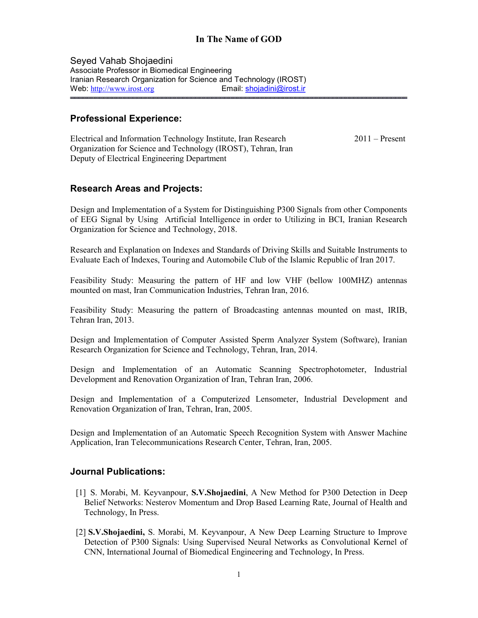# In The Name of GOD

Seyed Vahab Shojaedini Associate Professor in Biomedical Engineering Iranian Research Organization for Science and Technology (IROST) Web: http://www.irost.org Email: shojadini@irost.ir

## Professional Experience:

Electrical and Information Technology Institute, Iran Research 2011 – Present Organization for Science and Technology (IROST), Tehran, Iran Deputy of Electrical Engineering Department

## Research Areas and Projects:

Design and Implementation of a System for Distinguishing P300 Signals from other Components of EEG Signal by Using Artificial Intelligence in order to Utilizing in BCI, Iranian Research Organization for Science and Technology, 2018.

Research and Explanation on Indexes and Standards of Driving Skills and Suitable Instruments to Evaluate Each of Indexes, Touring and Automobile Club of the Islamic Republic of Iran 2017.

Feasibility Study: Measuring the pattern of HF and low VHF (bellow 100MHZ) antennas mounted on mast, Iran Communication Industries, Tehran Iran, 2016.

Feasibility Study: Measuring the pattern of Broadcasting antennas mounted on mast, IRIB, Tehran Iran, 2013.

Design and Implementation of Computer Assisted Sperm Analyzer System (Software), Iranian Research Organization for Science and Technology, Tehran, Iran, 2014.

Design and Implementation of an Automatic Scanning Spectrophotometer, Industrial Development and Renovation Organization of Iran, Tehran Iran, 2006.

Design and Implementation of a Computerized Lensometer, Industrial Development and Renovation Organization of Iran, Tehran, Iran, 2005.

Design and Implementation of an Automatic Speech Recognition System with Answer Machine Application, Iran Telecommunications Research Center, Tehran, Iran, 2005.

#### Journal Publications:

- [1] S. Morabi, M. Keyvanpour, S.V.Shojaedini, A New Method for P300 Detection in Deep Belief Networks: Nesterov Momentum and Drop Based Learning Rate, Journal of Health and Technology, In Press.
- [2] S.V.Shojaedini, S. Morabi, M. Keyvanpour, A New Deep Learning Structure to Improve Detection of P300 Signals: Using Supervised Neural Networks as Convolutional Kernel of CNN, International Journal of Biomedical Engineering and Technology, In Press.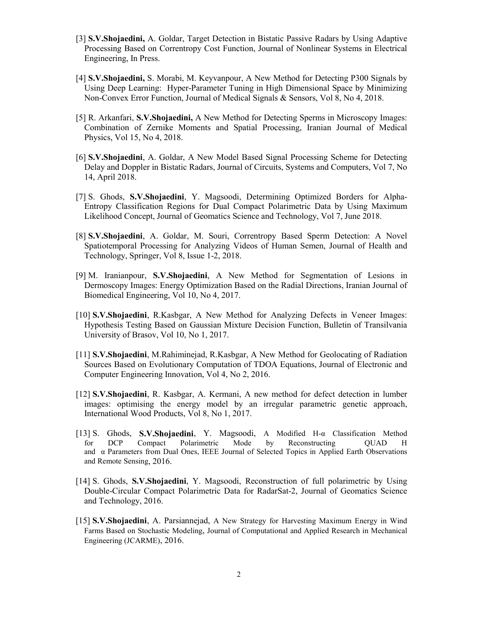- [3] S.V.Shojaedini, A. Goldar, Target Detection in Bistatic Passive Radars by Using Adaptive Processing Based on Correntropy Cost Function, Journal of Nonlinear Systems in Electrical Engineering, In Press.
- [4] S.V.Shojaedini, S. Morabi, M. Keyvanpour, A New Method for Detecting P300 Signals by Using Deep Learning: Hyper-Parameter Tuning in High Dimensional Space by Minimizing Non-Convex Error Function, Journal of Medical Signals & Sensors, Vol 8, No 4, 2018.
- [5] R. Arkanfari, S.V.Shojaedini, A New Method for Detecting Sperms in Microscopy Images: Combination of Zernike Moments and Spatial Processing, Iranian Journal of Medical Physics, Vol 15, No 4, 2018.
- [6] S.V.Shojaedini, A. Goldar, A New Model Based Signal Processing Scheme for Detecting Delay and Doppler in Bistatic Radars, Journal of Circuits, Systems and Computers, Vol 7, No 14, April 2018.
- [7] S. Ghods, S.V.Shojaedini, Y. Magsoodi, Determining Optimized Borders for Alpha-Entropy Classification Regions for Dual Compact Polarimetric Data by Using Maximum Likelihood Concept, Journal of Geomatics Science and Technology, Vol 7, June 2018.
- [8] S.V.Shojaedini, A. Goldar, M. Souri, Correntropy Based Sperm Detection: A Novel Spatiotemporal Processing for Analyzing Videos of Human Semen, Journal of Health and Technology, Springer, Vol 8, Issue 1-2, 2018.
- [9] M. Iranianpour, S.V.Shojaedini, A New Method for Segmentation of Lesions in Dermoscopy Images: Energy Optimization Based on the Radial Directions, Iranian Journal of Biomedical Engineering, Vol 10, No 4, 2017.
- [10] S.V.Shojaedini, R.Kasbgar, A New Method for Analyzing Defects in Veneer Images: Hypothesis Testing Based on Gaussian Mixture Decision Function, Bulletin of Transilvania University of Brasov, Vol 10, No 1, 2017.
- [11] S.V.Shojaedini, M.Rahiminejad, R.Kasbgar, A New Method for Geolocating of Radiation Sources Based on Evolutionary Computation of TDOA Equations, Journal of Electronic and Computer Engineering Innovation, Vol 4, No 2, 2016.
- [12] S.V.Shojaedini, R. Kasbgar, A. Kermani, A new method for defect detection in lumber images: optimising the energy model by an irregular parametric genetic approach, International Wood Products, Vol 8, No 1, 2017.
- [13] S. Ghods, S.V.Shojaedini, Y. Magsoodi, A Modified H-α Classification Method for DCP Compact Polarimetric Mode by Reconstructing QUAD H and α Parameters from Dual Ones, IEEE Journal of Selected Topics in Applied Earth Observations and Remote Sensing, 2016.
- [14] S. Ghods, S.V.Shojaedini, Y. Magsoodi, Reconstruction of full polarimetric by Using Double-Circular Compact Polarimetric Data for RadarSat-2, Journal of Geomatics Science and Technology, 2016.
- [15] S.V.Shojaedini, A. Parsiannejad, A New Strategy for Harvesting Maximum Energy in Wind Farms Based on Stochastic Modeling, Journal of Computational and Applied Research in Mechanical Engineering (JCARME), 2016.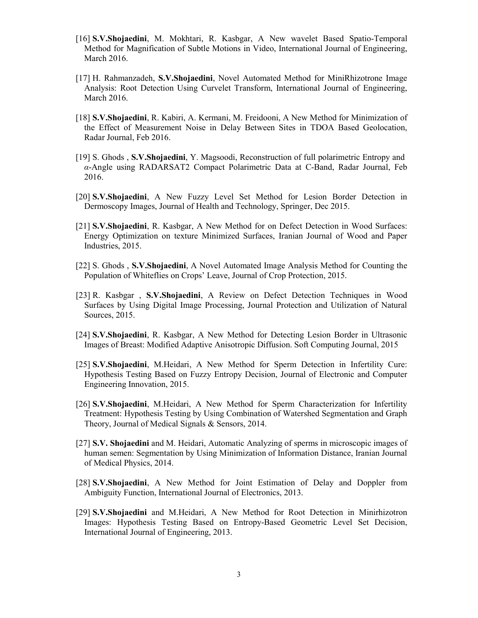- [16] S.V.Shojaedini, M. Mokhtari, R. Kasbgar, A New wavelet Based Spatio-Temporal Method for Magnification of Subtle Motions in Video, International Journal of Engineering, March 2016.
- [17] H. Rahmanzadeh, S.V.Shojaedini, Novel Automated Method for MiniRhizotrone Image Analysis: Root Detection Using Curvelet Transform, International Journal of Engineering, March 2016.
- [18] S.V.Shojaedini, R. Kabiri, A. Kermani, M. Freidooni, A New Method for Minimization of the Effect of Measurement Noise in Delay Between Sites in TDOA Based Geolocation, Radar Journal, Feb 2016.
- [19] S. Ghods , S.V.Shojaedini, Y. Magsoodi, Reconstruction of full polarimetric Entropy and α-Angle using RADARSAT2 Compact Polarimetric Data at C-Band, Radar Journal, Feb 2016.
- [20] S.V.Shojaedini, A New Fuzzy Level Set Method for Lesion Border Detection in Dermoscopy Images, Journal of Health and Technology, Springer, Dec 2015.
- [21] S.V.Shojaedini, R. Kasbgar, A New Method for on Defect Detection in Wood Surfaces: Energy Optimization on texture Minimized Surfaces, Iranian Journal of Wood and Paper Industries, 2015.
- [22] S. Ghods , S.V.Shojaedini, A Novel Automated Image Analysis Method for Counting the Population of Whiteflies on Crops' Leave, Journal of Crop Protection, 2015.
- [23] R. Kasbgar , S.V.Shojaedini, A Review on Defect Detection Techniques in Wood Surfaces by Using Digital Image Processing, Journal Protection and Utilization of Natural Sources, 2015.
- [24] S.V.Shojaedini, R. Kasbgar, A New Method for Detecting Lesion Border in Ultrasonic Images of Breast: Modified Adaptive Anisotropic Diffusion. Soft Computing Journal, 2015
- [25] S.V.Shojaedini, M.Heidari, A New Method for Sperm Detection in Infertility Cure: Hypothesis Testing Based on Fuzzy Entropy Decision, Journal of Electronic and Computer Engineering Innovation, 2015.
- [26] S.V.Shojaedini, M.Heidari, A New Method for Sperm Characterization for Infertility Treatment: Hypothesis Testing by Using Combination of Watershed Segmentation and Graph Theory, Journal of Medical Signals & Sensors, 2014.
- [27] S.V. Shojaedini and M. Heidari, Automatic Analyzing of sperms in microscopic images of human semen: Segmentation by Using Minimization of Information Distance, Iranian Journal of Medical Physics, 2014.
- [28] S.V.Shojaedini, A New Method for Joint Estimation of Delay and Doppler from Ambiguity Function, International Journal of Electronics, 2013.
- [29] S.V.Shojaedini and M.Heidari, A New Method for Root Detection in Minirhizotron Images: Hypothesis Testing Based on Entropy-Based Geometric Level Set Decision, International Journal of Engineering, 2013.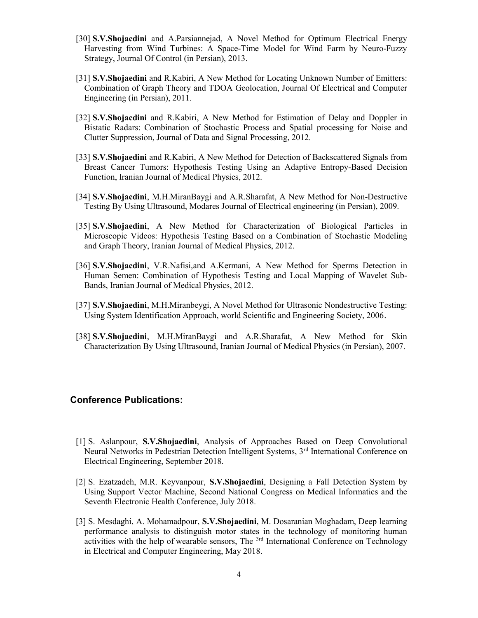- [30] S.V.Shojaedini and A.Parsiannejad, A Novel Method for Optimum Electrical Energy Harvesting from Wind Turbines: A Space-Time Model for Wind Farm by Neuro-Fuzzy Strategy, Journal Of Control (in Persian), 2013.
- [31] S.V.Shojaedini and R.Kabiri, A New Method for Locating Unknown Number of Emitters: Combination of Graph Theory and TDOA Geolocation, Journal Of Electrical and Computer Engineering (in Persian), 2011.
- [32] S.V.Shojaedini and R.Kabiri, A New Method for Estimation of Delay and Doppler in Bistatic Radars: Combination of Stochastic Process and Spatial processing for Noise and Clutter Suppression, Journal of Data and Signal Processing, 2012.
- [33] S.V.Shojaedini and R.Kabiri, A New Method for Detection of Backscattered Signals from Breast Cancer Tumors: Hypothesis Testing Using an Adaptive Entropy-Based Decision Function, Iranian Journal of Medical Physics, 2012.
- [34] S.V.Shojaedini, M.H.MiranBaygi and A.R.Sharafat, A New Method for Non-Destructive Testing By Using Ultrasound, Modares Journal of Electrical engineering (in Persian), 2009.
- [35] S.V.Shojaedini, A New Method for Characterization of Biological Particles in Microscopic Videos: Hypothesis Testing Based on a Combination of Stochastic Modeling and Graph Theory, Iranian Journal of Medical Physics, 2012.
- [36] S.V.Shojaedini, V.R.Nafisi,and A.Kermani, A New Method for Sperms Detection in Human Semen: Combination of Hypothesis Testing and Local Mapping of Wavelet Sub-Bands, Iranian Journal of Medical Physics, 2012.
- [37] S.V.Shojaedini, M.H.Miranbeygi, A Novel Method for Ultrasonic Nondestructive Testing: Using System Identification Approach, world Scientific and Engineering Society, 2006.
- [38] S.V.Shojaedini, M.H.MiranBaygi and A.R.Sharafat, A New Method for Skin Characterization By Using Ultrasound, Iranian Journal of Medical Physics (in Persian), 2007.

#### Conference Publications:

- [1] S. Aslanpour, S.V.Shojaedini, Analysis of Approaches Based on Deep Convolutional Neural Networks in Pedestrian Detection Intelligent Systems, 3<sup>rd</sup> International Conference on Electrical Engineering, September 2018.
- [2] S. Ezatzadeh, M.R. Keyvanpour, S.V.Shojaedini, Designing a Fall Detection System by Using Support Vector Machine, Second National Congress on Medical Informatics and the Seventh Electronic Health Conference, July 2018.
- [3] S. Mesdaghi, A. Mohamadpour, S.V.Shojaedini, M. Dosaranian Moghadam, Deep learning performance analysis to distinguish motor states in the technology of monitoring human activities with the help of wearable sensors, The <sup>3rd</sup> International Conference on Technology in Electrical and Computer Engineering, May 2018.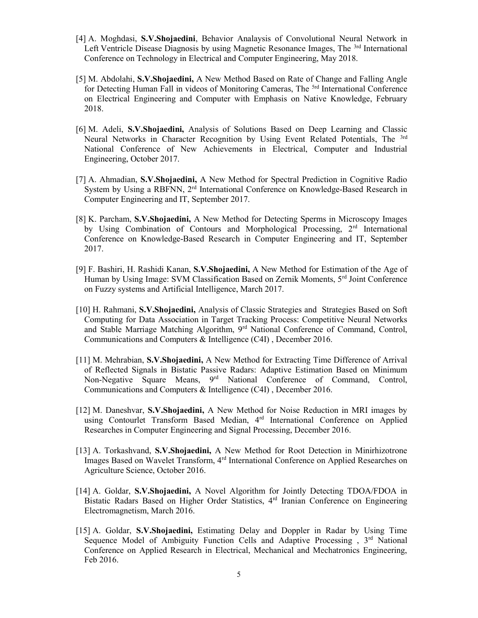- [4] A. Moghdasi, S.V.Shojaedini, Behavior Analaysis of Convolutional Neural Network in Left Ventricle Disease Diagnosis by using Magnetic Resonance Images, The <sup>3rd</sup> International Conference on Technology in Electrical and Computer Engineering, May 2018.
- [5] M. Abdolahi, S.V.Shojaedini, A New Method Based on Rate of Change and Falling Angle for Detecting Human Fall in videos of Monitoring Cameras, The <sup>5rd</sup> International Conference on Electrical Engineering and Computer with Emphasis on Native Knowledge, February 2018.
- [6] M. Adeli, S.V.Shojaedini, Analysis of Solutions Based on Deep Learning and Classic Neural Networks in Character Recognition by Using Event Related Potentials, The <sup>3rd</sup> National Conference of New Achievements in Electrical, Computer and Industrial Engineering, October 2017.
- [7] A. Ahmadian, S.V.Shojaedini, A New Method for Spectral Prediction in Cognitive Radio System by Using a RBFNN, 2<sup>rd</sup> International Conference on Knowledge-Based Research in Computer Engineering and IT, September 2017.
- [8] K. Parcham, S.V.Shojaedini, A New Method for Detecting Sperms in Microscopy Images by Using Combination of Contours and Morphological Processing, 2<sup>rd</sup> International Conference on Knowledge-Based Research in Computer Engineering and IT, September 2017.
- [9] F. Bashiri, H. Rashidi Kanan, S.V.Shojaedini, A New Method for Estimation of the Age of Human by Using Image: SVM Classification Based on Zernik Moments, 5<sup>rd</sup> Joint Conference on Fuzzy systems and Artificial Intelligence, March 2017.
- [10] H. Rahmani, S.V.Shojaedini, Analysis of Classic Strategies and Strategies Based on Soft Computing for Data Association in Target Tracking Process: Competitive Neural Networks and Stable Marriage Matching Algorithm, 9rd National Conference of Command, Control, Communications and Computers & Intelligence (C4I) , December 2016.
- [11] M. Mehrabian, S.V.Shojaedini, A New Method for Extracting Time Difference of Arrival of Reflected Signals in Bistatic Passive Radars: Adaptive Estimation Based on Minimum Non-Negative Square Means, 9<sup>rd</sup> National Conference of Command, Control, Communications and Computers & Intelligence (C4I) , December 2016.
- [12] M. Daneshvar, S.V.Shojaedini, A New Method for Noise Reduction in MRI images by using Contourlet Transform Based Median, 4<sup>rd</sup> International Conference on Applied Researches in Computer Engineering and Signal Processing, December 2016.
- [13] A. Torkashvand, S.V.Shojaedini, A New Method for Root Detection in Minirhizotrone Images Based on Wavelet Transform, 4rd International Conference on Applied Researches on Agriculture Science, October 2016.
- [14] A. Goldar, S.V.Shojaedini, A Novel Algorithm for Jointly Detecting TDOA/FDOA in Bistatic Radars Based on Higher Order Statistics, 4rd Iranian Conference on Engineering Electromagnetism, March 2016.
- [15] A. Goldar, S.V.Shojaedini, Estimating Delay and Doppler in Radar by Using Time Sequence Model of Ambiguity Function Cells and Adaptive Processing, 3<sup>rd</sup> National Conference on Applied Research in Electrical, Mechanical and Mechatronics Engineering, Feb 2016.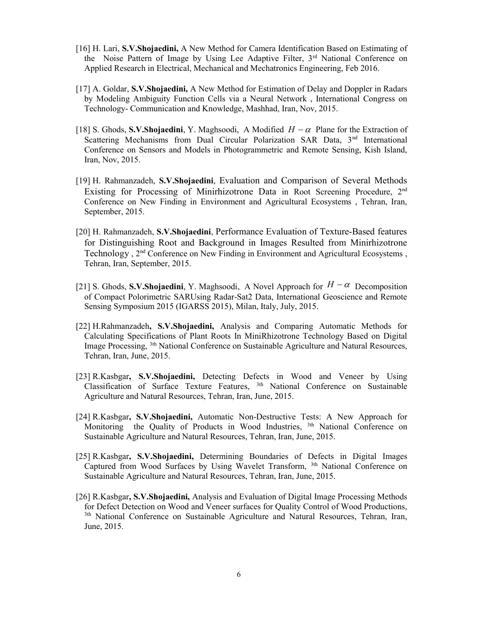- [16] H. Lari, S.V.Shojaedini, A New Method for Camera Identification Based on Estimating of the Noise Pattern of Image by Using Lee Adaptive Filter, 3rd National Conference on Applied Research in Electrical, Mechanical and Mechatronics Engineering, Feb 2016.
- [17] A. Goldar, S.V.Shojaedini, A New Method for Estimation of Delay and Doppler in Radars by Modeling Ambiguity Function Cells via a Neural Network , International Congress on Technology- Communication and Knowledge, Mashhad, Iran, Nov, 2015.
- [18] S. Ghods, S.V.Shojaedini, Y. Maghsoodi, A Modified  $H \alpha$  Plane for the Extraction of Scattering Mechanisms from Dual Circular Polarization SAR Data, 3<sup>nd</sup> International Conference on Sensors and Models in Photogrammetric and Remote Sensing, Kish Island, Iran, Nov, 2015.
- [19] H. Rahmanzadeh, S.V.Shojaedini, Evaluation and Comparison of Several Methods Existing for Processing of Minirhizotrone Data in Root Screening Procedure,  $2<sup>nd</sup>$ Conference on New Finding in Environment and Agricultural Ecosystems , Tehran, Iran, September, 2015.
- [20] H. Rahmanzadeh, S.V.Shojaedini, Performance Evaluation of Texture-Based features for Distinguishing Root and Background in Images Resulted from Minirhizotrone Technology, 2<sup>nd</sup> Conference on New Finding in Environment and Agricultural Ecosystems, Tehran, Iran, September, 2015.
- [21] S. Ghods, S.V.Shojaedini, Y. Maghsoodi, A Novel Approach for  $H \alpha$  Decomposition of Compact Polorimetric SARUsing Radar-Sat2 Data, International Geoscience and Remote Sensing Symposium 2015 (IGARSS 2015), Milan, Italy, July, 2015.
- [22] H.Rahmanzadeh, S.V.Shojaedini, Analysis and Comparing Automatic Methods for Calculating Specifications of Plant Roots In MiniRhizotrone Technology Based on Digital Image Processing, 3th National Conference on Sustainable Agriculture and Natural Resources, Tehran, Iran, June, 2015.
- [23] R.Kasbgar, S.V.Shojaedini, Detecting Defects in Wood and Veneer by Using Classification of Surface Texture Features, 3th National Conference on Sustainable Agriculture and Natural Resources, Tehran, Iran, June, 2015.
- [24] R.Kasbgar, S.V.Shojaedini, Automatic Non-Destructive Tests: A New Approach for Monitoring the Quality of Products in Wood Industries,  $3th$  National Conference on Sustainable Agriculture and Natural Resources, Tehran, Iran, June, 2015.
- [25] R.Kasbgar, S.V.Shojaedini, Determining Boundaries of Defects in Digital Images Captured from Wood Surfaces by Using Wavelet Transform, <sup>3th</sup> National Conference on Sustainable Agriculture and Natural Resources, Tehran, Iran, June, 2015.
- [26] R.Kasbgar, S.V.Shojaedini, Analysis and Evaluation of Digital Image Processing Methods for Defect Detection on Wood and Veneer surfaces for Quality Control of Wood Productions, <sup>3th</sup> National Conference on Sustainable Agriculture and Natural Resources, Tehran, Iran, June, 2015.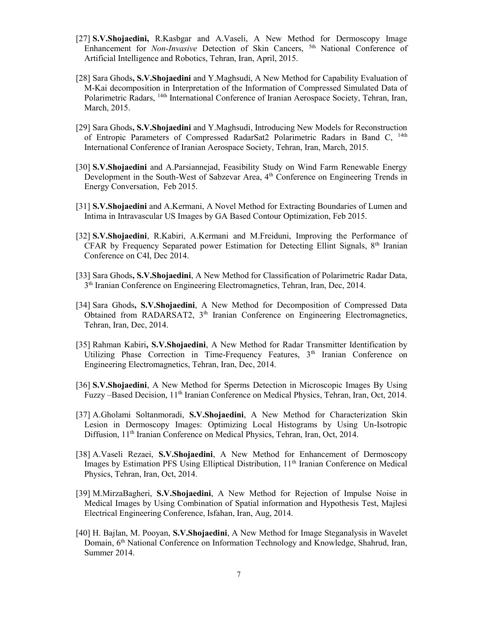- [27] S.V.Shojaedini, R.Kasbgar and A.Vaseli, A New Method for Dermoscopy Image Enhancement for Non-Invasive Detection of Skin Cancers, <sup>5th</sup> National Conference of Artificial Intelligence and Robotics, Tehran, Iran, April, 2015.
- [28] Sara Ghods, S.V.Shojaedini and Y.Maghsudi, A New Method for Capability Evaluation of M-Kai decomposition in Interpretation of the Information of Compressed Simulated Data of Polarimetric Radars, 14th International Conference of Iranian Aerospace Society, Tehran, Iran, March, 2015.
- [29] Sara Ghods, S.V.Shojaedini and Y.Maghsudi, Introducing New Models for Reconstruction of Entropic Parameters of Compressed RadarSat2 Polarimetric Radars in Band C, <sup>14th</sup> International Conference of Iranian Aerospace Society, Tehran, Iran, March, 2015.
- [30] S.V.Shojaedini and A.Parsiannejad, Feasibility Study on Wind Farm Renewable Energy Development in the South-West of Sabzevar Area, 4<sup>th</sup> Conference on Engineering Trends in Energy Conversation, Feb 2015.
- [31] S.V.Shojaedini and A.Kermani, A Novel Method for Extracting Boundaries of Lumen and Intima in Intravascular US Images by GA Based Contour Optimization, Feb 2015.
- [32] S.V.Shojaedini, R.Kabiri, A.Kermani and M.Freiduni, Improving the Performance of CFAR by Frequency Separated power Estimation for Detecting Ellint Signals, 8<sup>th</sup> Iranian Conference on C4I, Dec 2014.
- [33] Sara Ghods, S.V.Shojaedini, A New Method for Classification of Polarimetric Radar Data, 3<sup>th</sup> Iranian Conference on Engineering Electromagnetics, Tehran, Iran, Dec, 2014.
- [34] Sara Ghods, S.V.Shojaedini, A New Method for Decomposition of Compressed Data Obtained from RADARSAT2,  $3<sup>th</sup>$  Iranian Conference on Engineering Electromagnetics, Tehran, Iran, Dec, 2014.
- [35] Rahman Kabiri, S.V.Shojaedini, A New Method for Radar Transmitter Identification by Utilizing Phase Correction in Time-Frequency Features, 3<sup>th</sup> Iranian Conference on Engineering Electromagnetics, Tehran, Iran, Dec, 2014.
- [36] S.V.Shojaedini, A New Method for Sperms Detection in Microscopic Images By Using Fuzzy –Based Decision, 11<sup>th</sup> Iranian Conference on Medical Physics, Tehran, Iran, Oct, 2014.
- [37] A.Gholami Soltanmoradi, S.V.Shojaedini, A New Method for Characterization Skin Lesion in Dermoscopy Images: Optimizing Local Histograms by Using Un-Isotropic Diffusion, 11<sup>th</sup> Iranian Conference on Medical Physics, Tehran, Iran, Oct, 2014.
- [38] A.Vaseli Rezaei, S.V.Shojaedini, A New Method for Enhancement of Dermoscopy Images by Estimation PFS Using Elliptical Distribution, 11<sup>th</sup> Iranian Conference on Medical Physics, Tehran, Iran, Oct, 2014.
- [39] M.MirzaBagheri, S.V.Shojaedini, A New Method for Rejection of Impulse Noise in Medical Images by Using Combination of Spatial information and Hypothesis Test, Majlesi Electrical Engineering Conference, Isfahan, Iran, Aug, 2014.
- [40] H. Bajlan, M. Pooyan, S.V.Shojaedini, A New Method for Image Steganalysis in Wavelet Domain, 6<sup>th</sup> National Conference on Information Technology and Knowledge, Shahrud, Iran, Summer 2014.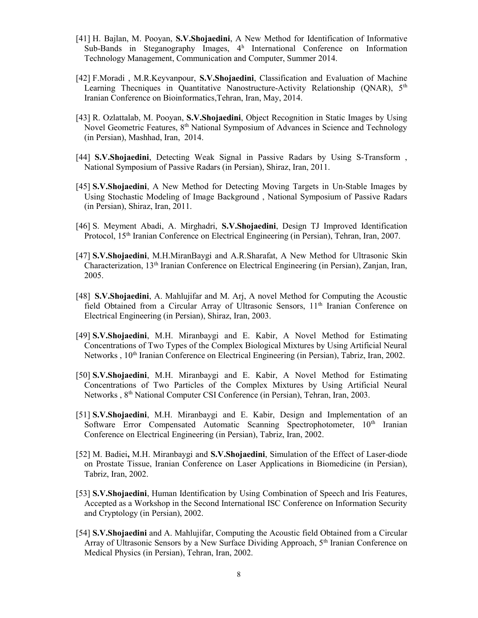- [41] H. Bajlan, M. Pooyan, S.V.Shojaedini, A New Method for Identification of Informative Sub-Bands in Steganography Images, 4<sup>h</sup> International Conference on Information Technology Management, Communication and Computer, Summer 2014.
- [42] F.Moradi , M.R.Keyvanpour, S.V.Shojaedini, Classification and Evaluation of Machine Learning Thecniques in Quantitative Nanostructure-Activity Relationship (QNAR),  $5<sup>th</sup>$ Iranian Conference on Bioinformatics,Tehran, Iran, May, 2014.
- [43] R. Ozlattalab, M. Pooyan, S.V.Shojaedini, Object Recognition in Static Images by Using Novel Geometric Features, 8<sup>th</sup> National Symposium of Advances in Science and Technology (in Persian), Mashhad, Iran, 2014.
- [44] S.V.Shojaedini, Detecting Weak Signal in Passive Radars by Using S-Transform , National Symposium of Passive Radars (in Persian), Shiraz, Iran, 2011.
- [45] S.V.Shojaedini, A New Method for Detecting Moving Targets in Un-Stable Images by Using Stochastic Modeling of Image Background , National Symposium of Passive Radars (in Persian), Shiraz, Iran, 2011.
- [46] S. Meyment Abadi, A. Mirghadri, S.V.Shojaedini, Design TJ Improved Identification Protocol, 15<sup>th</sup> Iranian Conference on Electrical Engineering (in Persian), Tehran, Iran, 2007.
- [47] S.V.Shojaedini, M.H.MiranBaygi and A.R.Sharafat, A New Method for Ultrasonic Skin Characterization, 13th Iranian Conference on Electrical Engineering (in Persian), Zanjan, Iran, 2005.
- [48] S.V.Shojaedini, A. Mahlujifar and M. Arj, A novel Method for Computing the Acoustic field Obtained from a Circular Array of Ultrasonic Sensors, 11<sup>th</sup> Iranian Conference on Electrical Engineering (in Persian), Shiraz, Iran, 2003.
- [49] S.V.Shojaedini, M.H. Miranbaygi and E. Kabir, A Novel Method for Estimating Concentrations of Two Types of the Complex Biological Mixtures by Using Artificial Neural Networks, 10<sup>th</sup> Iranian Conference on Electrical Engineering (in Persian), Tabriz, Iran, 2002.
- [50] S.V.Shojaedini, M.H. Miranbaygi and E. Kabir, A Novel Method for Estimating Concentrations of Two Particles of the Complex Mixtures by Using Artificial Neural Networks, 8<sup>th</sup> National Computer CSI Conference (in Persian), Tehran, Iran, 2003.
- [51] S.V.Shojaedini, M.H. Miranbaygi and E. Kabir, Design and Implementation of an Software Error Compensated Automatic Scanning Spectrophotometer, 10<sup>th</sup> Iranian Conference on Electrical Engineering (in Persian), Tabriz, Iran, 2002.
- [52] M. Badiei, M.H. Miranbaygi and S.V.Shojaedini, Simulation of the Effect of Laser-diode on Prostate Tissue, Iranian Conference on Laser Applications in Biomedicine (in Persian), Tabriz, Iran, 2002.
- [53] S.V.Shojaedini, Human Identification by Using Combination of Speech and Iris Features, Accepted as a Workshop in the Second International ISC Conference on Information Security and Cryptology (in Persian), 2002.
- [54] S.V.Shojaedini and A. Mahlujifar, Computing the Acoustic field Obtained from a Circular Array of Ultrasonic Sensors by a New Surface Dividing Approach,  $5<sup>th</sup>$  Iranian Conference on Medical Physics (in Persian), Tehran, Iran, 2002.